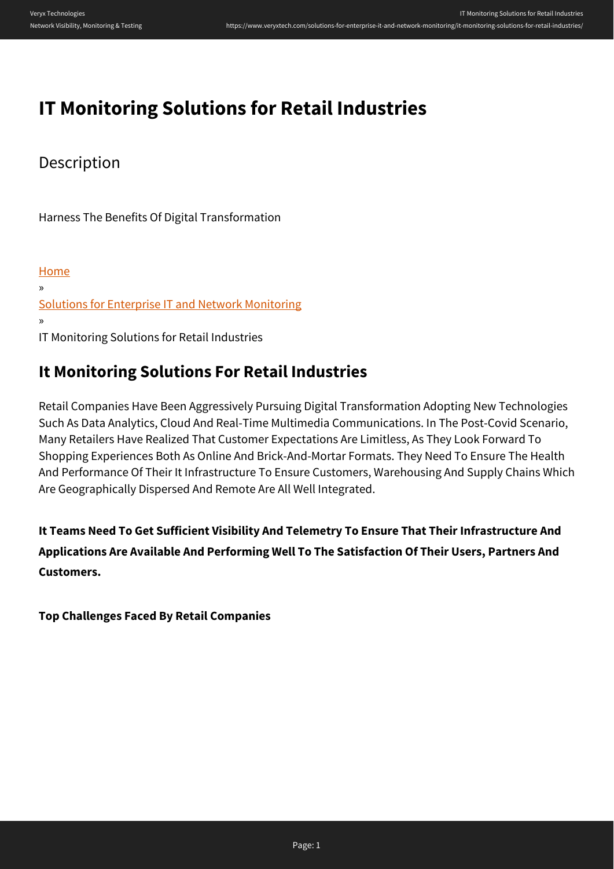# **IT Monitoring Solutions for Retail Industries**

### **Description**

Harness The Benefits Of Digital Transformation

[Home](https://www.veryxtech.com) » [Solutions for Enterprise IT and Network Monitoring](https://www.veryxtech.com/solutions-for-enterprise-it-and-network-monitoring/) » IT Monitoring Solutions for Retail Industries

## **It Monitoring Solutions For Retail Industries**

Retail Companies Have Been Aggressively Pursuing Digital Transformation Adopting New Technologies Such As Data Analytics, Cloud And Real-Time Multimedia Communications. In The Post-Covid Scenario, Many Retailers Have Realized That Customer Expectations Are Limitless, As They Look Forward To Shopping Experiences Both As Online And Brick-And-Mortar Formats. They Need To Ensure The Health And Performance Of Their It Infrastructure To Ensure Customers, Warehousing And Supply Chains Which Are Geographically Dispersed And Remote Are All Well Integrated.

**It Teams Need To Get Sufficient Visibility And Telemetry To Ensure That Their Infrastructure And Applications Are Available And Performing Well To The Satisfaction Of Their Users, Partners And Customers.**

**Top Challenges Faced By Retail Companies**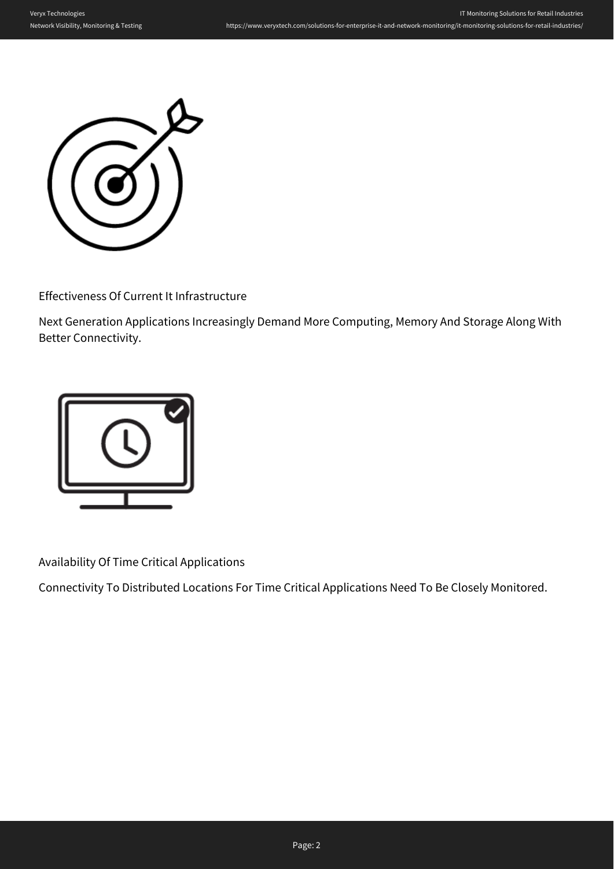

Effectiveness Of Current It Infrastructure

Next Generation Applications Increasingly Demand More Computing, Memory And Storage Along With Better Connectivity.



Availability Of Time Critical Applications

Connectivity To Distributed Locations For Time Critical Applications Need To Be Closely Monitored.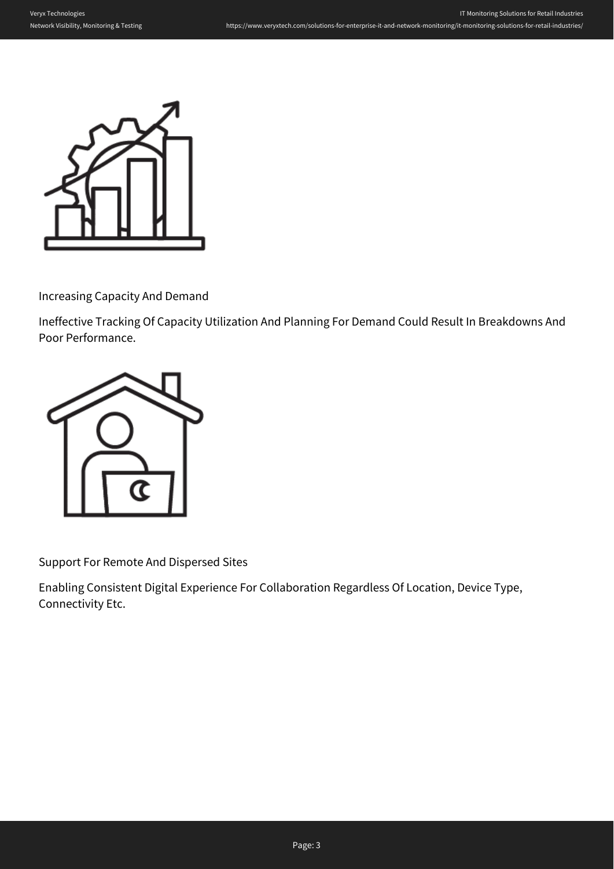

Increasing Capacity And Demand

Ineffective Tracking Of Capacity Utilization And Planning For Demand Could Result In Breakdowns And Poor Performance.



Support For Remote And Dispersed Sites

Enabling Consistent Digital Experience For Collaboration Regardless Of Location, Device Type, Connectivity Etc.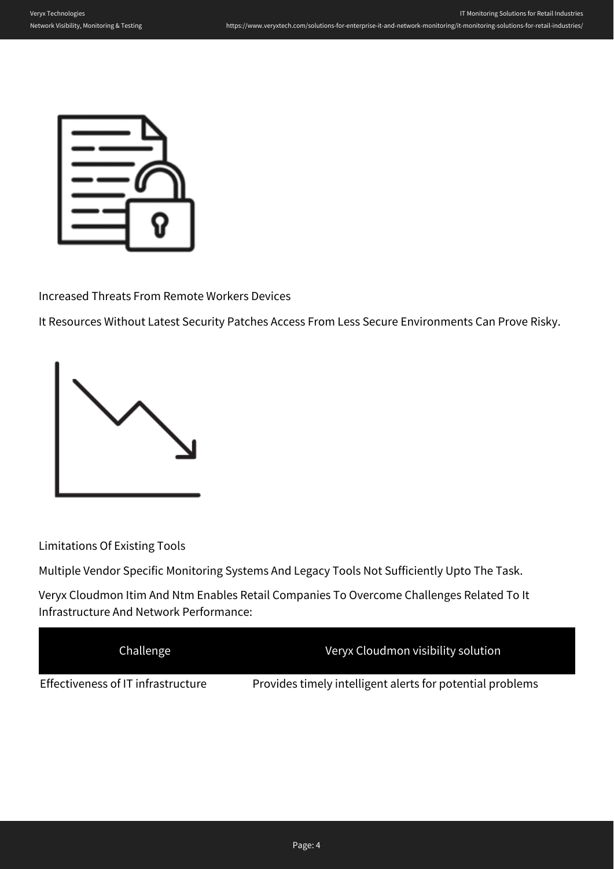

Increased Threats From Remote Workers Devices

It Resources Without Latest Security Patches Access From Less Secure Environments Can Prove Risky.



Limitations Of Existing Tools

Multiple Vendor Specific Monitoring Systems And Legacy Tools Not Sufficiently Upto The Task.

Veryx Cloudmon Itim And Ntm Enables Retail Companies To Overcome Challenges Related To It Infrastructure And Network Performance:

| Challenge                          | Veryx Cloudmon visibility solution                        |
|------------------------------------|-----------------------------------------------------------|
| Effectiveness of IT infrastructure | Provides timely intelligent alerts for potential problems |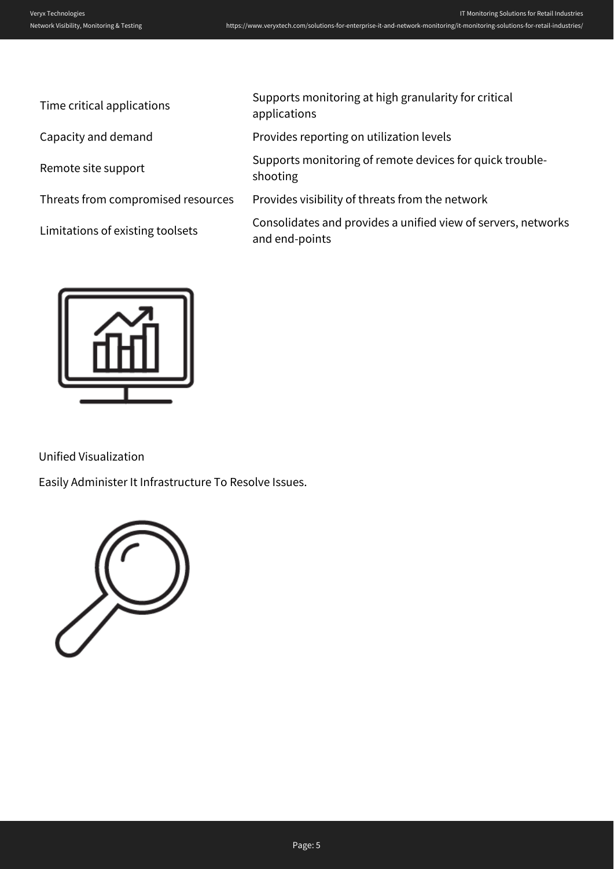| Time critical applications         | Supports monitoring at high granularity for critical<br>applications            |
|------------------------------------|---------------------------------------------------------------------------------|
| Capacity and demand                | Provides reporting on utilization levels                                        |
| Remote site support                | Supports monitoring of remote devices for quick trouble-<br>shooting            |
| Threats from compromised resources | Provides visibility of threats from the network                                 |
| Limitations of existing toolsets   | Consolidates and provides a unified view of servers, networks<br>and end-points |
|                                    |                                                                                 |



Unified Visualization

Easily Administer It Infrastructure To Resolve Issues.